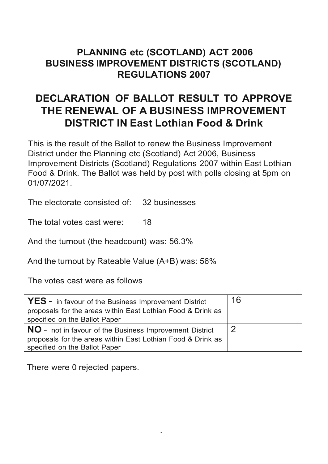## **PLANNING etc (SCOTLAND) ACT 2006 BUSINESS IMPROVEMENT DISTRICTS (SCOTLAND) REGULATIONS 2007**

## **DECLARATION OF BALLOT RESULT TO APPROVE THE RENEWAL OF A BUSINESS IMPROVEMENT DISTRICT IN East Lothian Food & Drink**

This is the result of the Ballot to renew the Business Improvement District under the Planning etc (Scotland) Act 2006, Business Improvement Districts (Scotland) Regulations 2007 within East Lothian Food & Drink. The Ballot was held by post with polls closing at 5pm on 01/07/2021.

The electorate consisted of: 32 businesses

The total votes cast were: 18

And the turnout (the headcount) was: 56.3%

And the turnout by Rateable Value (A+B) was: 56%

The votes cast were as follows

| <b>YES</b> - in favour of the Business Improvement District<br>proposals for the areas within East Lothian Food & Drink as<br>specified on the Ballot Paper    | 16 |
|----------------------------------------------------------------------------------------------------------------------------------------------------------------|----|
| <b>NO</b> - not in favour of the Business Improvement District<br>proposals for the areas within East Lothian Food & Drink as<br>specified on the Ballot Paper |    |

There were 0 rejected papers.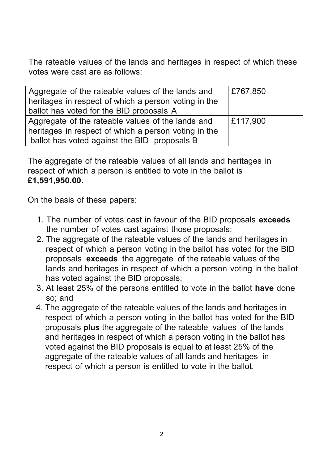The rateable values of the lands and heritages in respect of which these votes were cast are as follows:

| Aggregate of the rateable values of the lands and<br>heritages in respect of which a person voting in the<br>ballot has voted for the BID proposals A     | £767,850 |
|-----------------------------------------------------------------------------------------------------------------------------------------------------------|----------|
| Aggregate of the rateable values of the lands and<br>heritages in respect of which a person voting in the<br>ballot has voted against the BID proposals B | E117,900 |

The aggregate of the rateable values of all lands and heritages in respect of which a person is entitled to vote in the ballot is **£1,591,950.00.**

On the basis of these papers:

- 1. The number of votes cast in favour of the BID proposals **exceeds** the number of votes cast against those proposals;
- 2. The aggregate of the rateable values of the lands and heritages in respect of which a person voting in the ballot has voted for the BID proposals **exceeds** the aggregate of the rateable values of the lands and heritages in respect of which a person voting in the ballot has voted against the BID proposals;
- 3. At least 25% of the persons entitled to vote in the ballot **have** done so; and
- 4. The aggregate of the rateable values of the lands and heritages in respect of which a person voting in the ballot has voted for the BID proposals **plus** the aggregate of the rateable values of the lands and heritages in respect of which a person voting in the ballot has voted against the BID proposals is equal to at least 25% of the aggregate of the rateable values of all lands and heritages in respect of which a person is entitled to vote in the ballot.